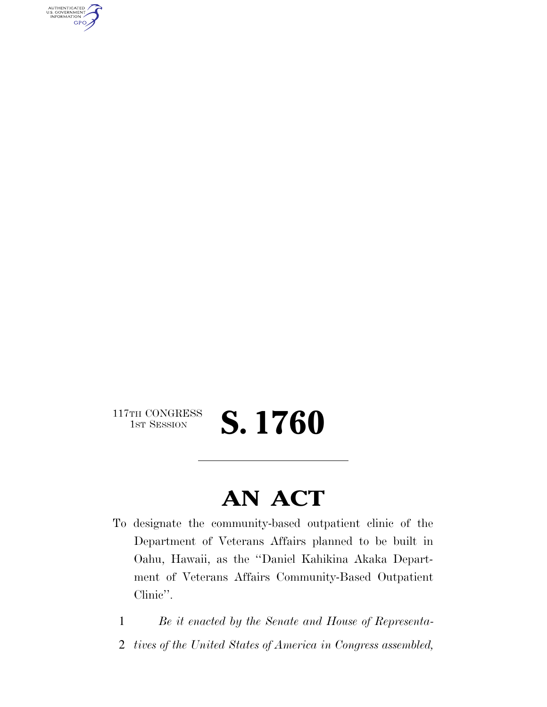AUTHENTICATED<br>U.S. GOVERNMENT<br>INFORMATION **GPO** 

117TH CONGRESS<br>1st Session

1ST SESSION **S. 1760** 

## **AN ACT**

- To designate the community-based outpatient clinic of the Department of Veterans Affairs planned to be built in Oahu, Hawaii, as the ''Daniel Kahikina Akaka Department of Veterans Affairs Community-Based Outpatient Clinic''.
	- 1 *Be it enacted by the Senate and House of Representa-*
	- 2 *tives of the United States of America in Congress assembled,*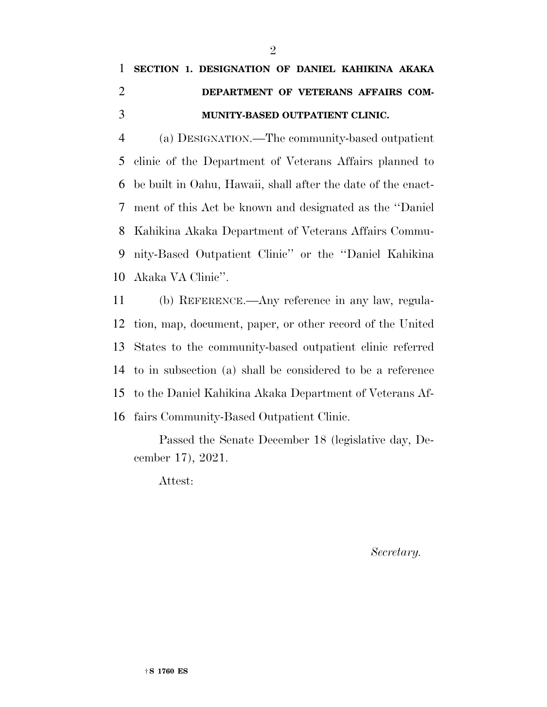## **SECTION 1. DESIGNATION OF DANIEL KAHIKINA AKAKA DEPARTMENT OF VETERANS AFFAIRS COM-MUNITY-BASED OUTPATIENT CLINIC.**

 (a) DESIGNATION.—The community-based outpatient clinic of the Department of Veterans Affairs planned to be built in Oahu, Hawaii, shall after the date of the enact- ment of this Act be known and designated as the ''Daniel Kahikina Akaka Department of Veterans Affairs Commu- nity-Based Outpatient Clinic'' or the ''Daniel Kahikina Akaka VA Clinic''.

 (b) REFERENCE.—Any reference in any law, regula- tion, map, document, paper, or other record of the United States to the community-based outpatient clinic referred to in subsection (a) shall be considered to be a reference to the Daniel Kahikina Akaka Department of Veterans Af-fairs Community-Based Outpatient Clinic.

Passed the Senate December 18 (legislative day, December 17), 2021.

Attest:

*Secretary.*